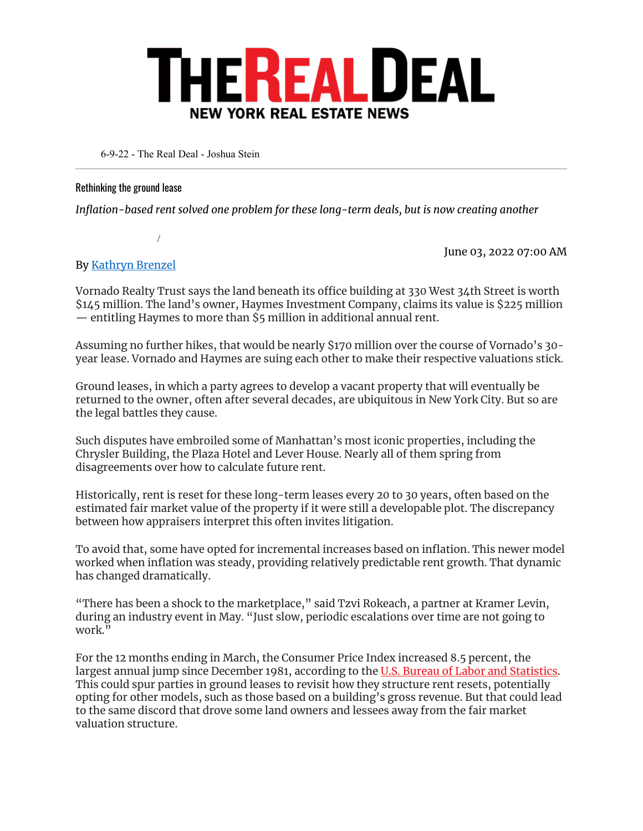

6-9-22 - The Real Deal - Joshua Stein

## Rethinking the ground lease

*Inflation-based rent solved one problem for these long-term deals, but is now creating another*

By Kathryn Brenzel

 $\sqrt{2}$ 

June 03, 2022 07:00 AM

Vornado Realty Trust says the land beneath its office building at 330 West 34th Street is worth \$145 million. The land's owner, Haymes Investment Company, claims its value is \$225 million — entitling Haymes to more than \$5 million in additional annual rent.

Assuming no further hikes, that would be nearly \$170 million over the course of Vornado's 30 year lease. Vornado and Haymes are suing each other to make their respective valuations stick.

Ground leases, in which a party agrees to develop a vacant property that will eventually be returned to the owner, often after several decades, are ubiquitous in New York City. But so are the legal battles they cause.

Such disputes have embroiled some of Manhattan's most iconic properties, including the Chrysler Building, the Plaza Hotel and Lever House. Nearly all of them spring from disagreements over how to calculate future rent.

Historically, rent is reset for these long-term leases every 20 to 30 years, often based on the estimated fair market value of the property if it were still a developable plot. The discrepancy between how appraisers interpret this often invites litigation.

To avoid that, some have opted for incremental increases based on inflation. This newer model worked when inflation was steady, providing relatively predictable rent growth. That dynamic has changed dramatically.

"There has been a shock to the marketplace," said Tzvi Rokeach, a partner at Kramer Levin, during an industry event in May. "Just slow, periodic escalations over time are not going to work.

For the 12 months ending in March, the Consumer Price Index increased 8.5 percent, the largest annual jump since December 1981, according to the U.S. Bureau of Labor and Statistics. This could spur parties in ground leases to revisit how they structure rent resets, potentially opting for other models, such as those based on a building's gross revenue. But that could lead to the same discord that drove some land owners and lessees away from the fair market valuation structure.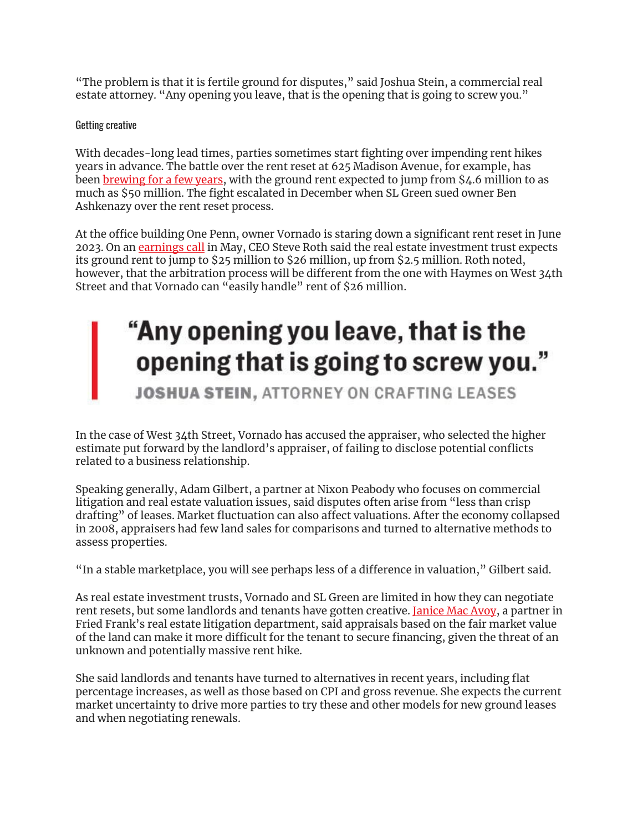"The problem is that it is fertile ground for disputes," said Joshua Stein, a commercial real estate attorney. "Any opening you leave, that is the opening that is going to screw you."

## Getting creative

With decades-long lead times, parties sometimes start fighting over impending rent hikes years in advance. The battle over the rent reset at 625 Madison Avenue, for example, has been [brewing for a few years,](https://therealdeal.com/2021/02/23/sl-green-ben-ashkenazy-duke-it-out-over-madison-avenue-office/) with the ground rent expected to jump from \$4.6 million to as much as \$50 million. The fight escalated in December when SL Green sued owner Ben Ashkenazy over the rent reset process.

At the office building One Penn, owner Vornado is staring down a significant rent reset in June 2023. On an [earnings call](https://seekingalpha.com/article/4506381-vornado-realty-trusts-vno-ceo-steven-roth-on-q1-2022-results-earnings-call-transcript) in May, CEO Steve Roth said the real estate investment trust expects its ground rent to jump to \$25 million to \$26 million, up from \$2.5 million. Roth noted, however, that the arbitration process will be different from the one with Haymes on West 34th Street and that Vornado can "easily handle" rent of \$26 million.

## "Any opening you leave, that is the opening that is going to screw you."

**JOSHUA STEIN, ATTORNEY ON CRAFTING LEASES** 

In the case of West 34th Street, Vornado has accused the appraiser, who selected the higher estimate put forward by the landlord's appraiser, of failing to disclose potential conflicts related to a business relationship.

Speaking generally, Adam Gilbert, a partner at Nixon Peabody who focuses on commercial litigation and real estate valuation issues, said disputes often arise from "less than crisp drafting" of leases. Market fluctuation can also affect valuations. After the economy collapsed in 2008, appraisers had few land sales for comparisons and turned to alternative methods to assess properties.

"In a stable marketplace, you will see perhaps less of a difference in valuation," Gilbert said.

As real estate investment trusts, Vornado and SL Green are limited in how they can negotiate rent resets, but some landlords and tenants have gotten creative. *Janice Mac Avoy*, a partner in Fried Frank's real estate litigation department, said appraisals based on the fair market value of the land can make it more difficult for the tenant to secure financing, given the threat of an unknown and potentially massive rent hike.

She said landlords and tenants have turned to alternatives in recent years, including flat percentage increases, as well as those based on CPI and gross revenue. She expects the current market uncertainty to drive more parties to try these and other models for new ground leases and when negotiating renewals.